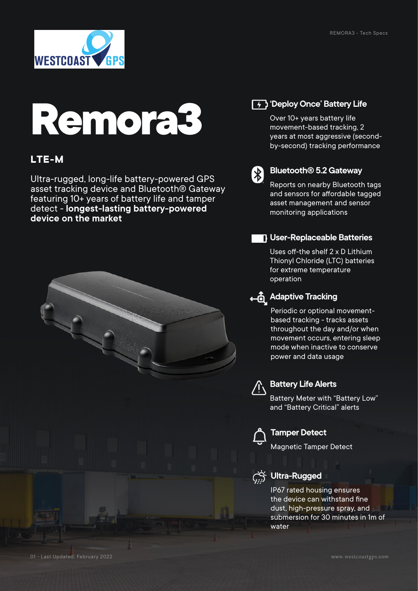

# **Remora3**

## **LTE-M**

Ultra-rugged, long-life battery-powered GPS asset tracking device and Bluetooth® Gateway featuring 10+ years of battery life and tamper detect - **longest-lasting battery-powered device on the market**



## **T+ 3 Deploy Once' Battery Life**

Over 10+ years battery life movement-based tracking, 2 years at most aggressive (secondby-second) tracking performance



#### **Bluetooth® 5.2 Gateway**

Reports on nearby Bluetooth tags and sensors for affordable tagged asset management and sensor monitoring applications

### **User-Replaceable Batteries**

Uses off-the shelf 2 x D Lithium Thionyl Chloride (LTC) batteries for extreme temperature operation

## **Adaptive Tracking**

Periodic or optional movementbased tracking - tracks assets throughout the day and/or when movement occurs, entering sleep mode when inactive to conserve power and data usage



#### **Battery Life Alerts**

Battery Meter with "Battery Low" and "Battery Critical" alerts



#### **Tamper Detect**

Magnetic Tamper Detect



## **C**<sup>i</sup>, Ultra-Rugged

IP67 rated housing ensures the device can withstand fine dust, high-pressure spray, and submersion for 30 minutes in 1m of water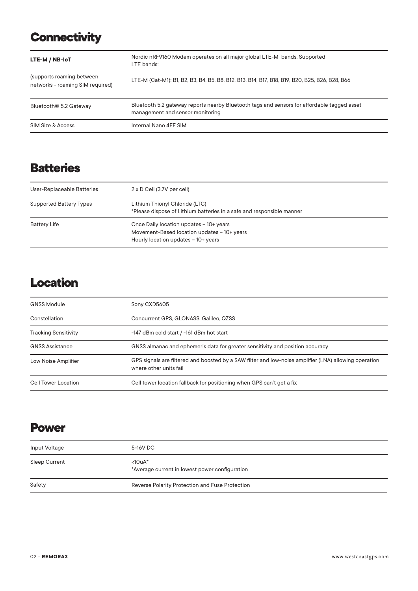# **Connectivity**

| LTE-M / NB-IoT                                                | Nordic nRF9160 Modem operates on all major global LTE-M bands. Supported<br>LTE bands:                                          |
|---------------------------------------------------------------|---------------------------------------------------------------------------------------------------------------------------------|
| (supports roaming between<br>networks - roaming SIM required) | LTE-M (Cat-M1): B1, B2, B3, B4, B5, B8, B12, B13, B14, B17, B18, B19, B20, B25, B26, B28, B66                                   |
| Bluetooth <sup>®</sup> 5.2 Gateway                            | Bluetooth 5.2 gateway reports nearby Bluetooth tags and sensors for affordable tagged asset<br>management and sensor monitoring |
| SIM Size & Access                                             | Internal Nano 4FF SIM                                                                                                           |

# **Batteries**

| User-Replaceable Batteries     | $2 \times D$ Cell (3.7V per cell)                                                                                             |
|--------------------------------|-------------------------------------------------------------------------------------------------------------------------------|
| <b>Supported Battery Types</b> | Lithium Thionyl Chloride (LTC)<br>*Please dispose of Lithium batteries in a safe and responsible manner                       |
| <b>Battery Life</b>            | Once Daily location updates - 10+ years<br>Movement-Based location updates - 10+ years<br>Hourly location updates - 10+ years |

## **Location**

| <b>GNSS Module</b>          | Sony CXD5605                                                                                                                    |
|-----------------------------|---------------------------------------------------------------------------------------------------------------------------------|
| Constellation               | Concurrent GPS, GLONASS, Galileo, QZSS                                                                                          |
| <b>Tracking Sensitivity</b> | -147 dBm cold start / -161 dBm hot start                                                                                        |
| <b>GNSS Assistance</b>      | GNSS almanac and ephemeris data for greater sensitivity and position accuracy                                                   |
| Low Noise Amplifier         | GPS signals are filtered and boosted by a SAW filter and low-noise amplifier (LNA) allowing operation<br>where other units fail |
| Cell Tower Location         | Cell tower location fallback for positioning when GPS can't get a fix                                                           |

## **Power**

| Input Voltage | 5-16V DC                                                        |
|---------------|-----------------------------------------------------------------|
| Sleep Current | $<$ 10u $A^*$<br>*Average current in lowest power configuration |
| Safety        | Reverse Polarity Protection and Fuse Protection                 |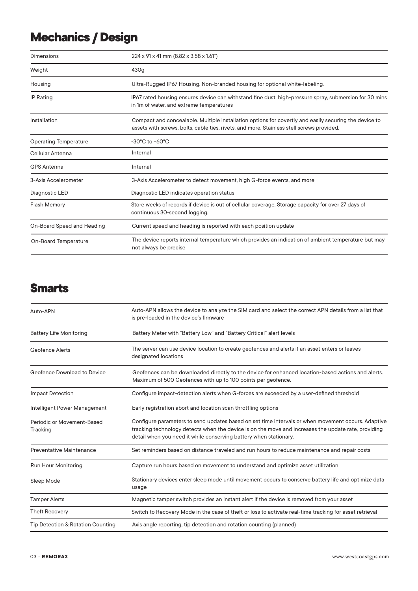# **Mechanics / Design**

| Dimensions                   | 224 x 91 x 41 mm (8.82 x 3.58 x 1.61")                                                                                                                                                             |
|------------------------------|----------------------------------------------------------------------------------------------------------------------------------------------------------------------------------------------------|
| Weight                       | 430g                                                                                                                                                                                               |
| Housing                      | Ultra-Rugged IP67 Housing. Non-branded housing for optional white-labeling.                                                                                                                        |
| <b>IP Rating</b>             | IP67 rated housing ensures device can withstand fine dust, high-pressure spray, submersion for 30 mins<br>in 1m of water, and extreme temperatures                                                 |
| Installation                 | Compact and concealable. Multiple installation options for covertly and easily securing the device to<br>assets with screws, bolts, cable ties, rivets, and more. Stainless stell screws provided. |
| <b>Operating Temperature</b> | $-30^{\circ}$ C to $+60^{\circ}$ C                                                                                                                                                                 |
| Cellular Antenna             | Internal                                                                                                                                                                                           |
| <b>GPS Antenna</b>           | Internal                                                                                                                                                                                           |
| 3-Axis Accelerometer         | 3-Axis Accelerometer to detect movement, high G-force events, and more                                                                                                                             |
| Diagnostic LED               | Diagnostic LED indicates operation status                                                                                                                                                          |
| <b>Flash Memory</b>          | Store weeks of records if device is out of cellular coverage. Storage capacity for over 27 days of<br>continuous 30-second logging.                                                                |
| On-Board Speed and Heading   | Current speed and heading is reported with each position update                                                                                                                                    |
| <b>On-Board Temperature</b>  | The device reports internal temperature which provides an indication of ambient temperature but may<br>not always be precise                                                                       |

## **Smarts**

| Auto-APN                               | Auto-APN allows the device to analyze the SIM card and select the correct APN details from a list that<br>is pre-loaded in the device's firmware                                                                                                                               |
|----------------------------------------|--------------------------------------------------------------------------------------------------------------------------------------------------------------------------------------------------------------------------------------------------------------------------------|
| <b>Battery Life Monitoring</b>         | Battery Meter with "Battery Low" and "Battery Critical" alert levels                                                                                                                                                                                                           |
| <b>Geofence Alerts</b>                 | The server can use device location to create geofences and alerts if an asset enters or leaves<br>designated locations                                                                                                                                                         |
| Geofence Download to Device            | Geofences can be downloaded directly to the device for enhanced location-based actions and alerts.<br>Maximum of 500 Geofences with up to 100 points per geofence.                                                                                                             |
| <b>Impact Detection</b>                | Configure impact-detection alerts when G-forces are exceeded by a user-defined threshold                                                                                                                                                                                       |
| Intelligent Power Management           | Early registration abort and location scan throttling options                                                                                                                                                                                                                  |
| Periodic or Movement-Based<br>Tracking | Configure parameters to send updates based on set time intervals or when movement occurs. Adaptive<br>tracking technology detects when the device is on the move and increases the update rate, providing<br>detail when you need it while conserving battery when stationary. |
| Preventative Maintenance               | Set reminders based on distance traveled and run hours to reduce maintenance and repair costs                                                                                                                                                                                  |
| Run Hour Monitoring                    | Capture run hours based on movement to understand and optimize asset utilization                                                                                                                                                                                               |
| Sleep Mode                             | Stationary devices enter sleep mode until movement occurs to conserve battery life and optimize data<br>usage                                                                                                                                                                  |
| <b>Tamper Alerts</b>                   | Magnetic tamper switch provides an instant alert if the device is removed from your asset                                                                                                                                                                                      |
| <b>Theft Recovery</b>                  | Switch to Recovery Mode in the case of theft or loss to activate real-time tracking for asset retrieval                                                                                                                                                                        |
| Tip Detection & Rotation Counting      | Axis angle reporting, tip detection and rotation counting (planned)                                                                                                                                                                                                            |